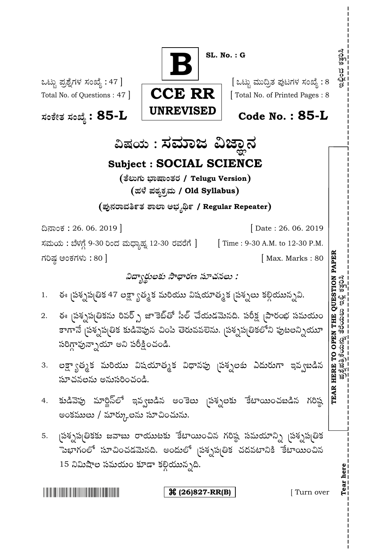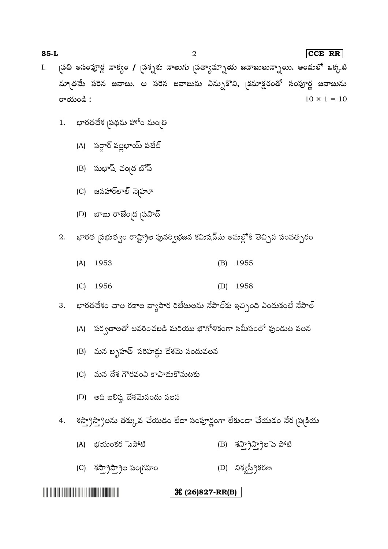# **(26)827-RR(B)**

- (C) శస్వాస్పాల సంగ్రహం<br>(D) నిశ్వస్థ్రీకరణ
- (A) (B)
- శస్త్రాస్త్రాలను తక్కువ చేయడం లేదా సంపూర్ణంగా లేకుండా చేయడం నేర చుక్రియ 4.
- (D) అది బలిష్ఠ దేశమెనందు వలన

- (C) మన దేశ గౌరవంని కాపాడుకొనుటకు
- (B) మన బృహత్ సరిహద్దు దేశమె నందువలన
- (A) పర్వతాలతో ఆవరించబడి మరియు భౌగోళికంగా సమీపంలో వుండుట వలన
- భారతదేశం చాల రకాల వ్యాపార రిబేటులను నేపాల్కు ఇచ్చింది ఎందుకంటే నేపాల్ 3.
- (C) 1956 (D) 1958
- 
- (A) 1953 (B) 1955
- భారత <sub>(</sub>పభుత్వం రాష్ట్రాల పునర్విభజన కమిషన్ను అమల్లోకి తెచ్చిన సంవత్సరం 2.
- (D) బాబు రాజేంబద స్థాన్
- (C) జవహార్లాల్ నె<sub>(</sub>హూ
- (B) సుభాష్ చంబడ బోస్
- (A) సర్దార్ వల్లభాయ్ పటేల్

భారతదేశ <sub>(</sub>పథమ హోం మం<sub>(</sub>తి

1.

I. <sub>(</sub>పతి అసంపూర్ణ వాక్యం / <sub>(</sub>పశ్నకు నాలుగు <sub>(</sub>పత్యామ్నాయ జవాబులున్నాయి. అందులో ఒక్కటి మాత్రమే సరెన జవాబు. ఆ సరెన జవాబును ఎన్నుకొని, క్రమాక్షరంతో సంపూర్ణ జవాబును రాయండి :  $10 \times 1 = 10$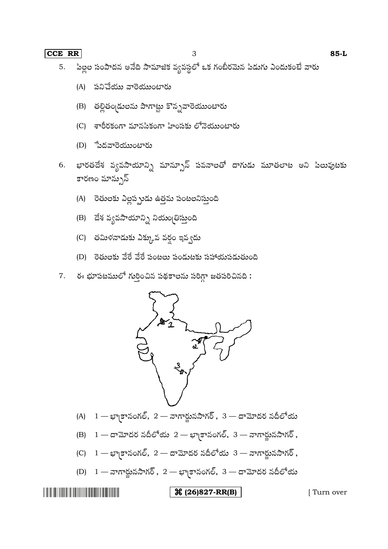#### **CCE RR** 3 **85-L**

- పిల్లల సంపాదన అనేది సామాజిక వ్యవస్థలో ఒక గంబీరమెన పిడుగు ఎందుకంటే వారు 5.
	- (A) పనిచేయు వారెయుంటారు
	- (B) తల్లితం డులను పాగాట్టు కొన్నవారెయుంటారు
	- (C) శారీరకంగా మానసికంగా హింసకు లోనెయుంటారు
	- (D) <del>స</del>ేదవారెయుంటారు
- భారతదేశ వ్యవసాయాన్ని మాన్పూన్ పవనాలతో దాగుడు మూతలాట అని పిలువుటకు 6. కారణం మాన్పున్
	- (A) రెతులకు ఎల్లప్పుడు ఉత్తమ పంటలనిస్తుంది
	- (B) దేశ వ్యవసాయాన్ని నియం తిస్తుంది
	- (C) తమిళనాడుకు ఎక్కువ వర్ధం ఇవ్వదు
	- (D) రెతులకు వేరే వేరే పంటలు పండుటకు సహాయపడుతుంది
- ఈ భూపటములో గుర్తించిన పథకాలను సరిగ్గా జతపరిచినది : 7.



- (A)  $1 \varphi$ కానంగల్, 2 నాగార్జునసాగర్, 3 దామోదర నదీలోయ
- (B)  $1 \infty$ మోదర నదీలోయ  $2 \infty$ కానంగల్,  $3 \infty$ గార్జునసాగర్,
- $(C)$  1 భా(కానంగల్, 2 దామోదర నదీలోయ 3 నాగార్జునసాగర్,
- (D)  $1 \pi n$ ర్జునసాగర్,  $2 n$ కానంగల్,  $3 \pi n$ మాదర నదీలోయ

## **(26)827-RR(B)** [ Turn over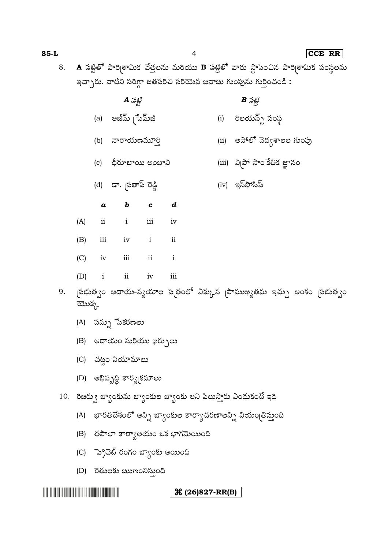# **(26)827-RR(B)**

- (D) రెతులకు ఋణంనిస్తుంది
- (C) ెప్రెవెట్ రంగం బ్యాంకు అయింది
- 
- (B) తపాలా కార్యాలయం ఒక భాగమెయింది
- 
- (A) భారతదేశంలో అన్ని బ్యాంకుల కార్యాచరణాలన్ని నియంబ్రిస్తుంది
- 
- 10. రిజర్వు బ్యాంకును బ్యాంకుల బ్యాంకు అని పిలుస్తారు ఎందుకంటే ఇది
- 
- 
- 
- (D) అభివృద్ధి కార్య(కమాలు
- (C) చట్టం నియామాలు
- 
- (B) ఆదాయం మరియు ఖర్చులు
- (A) పన్ను ేసెకరణలు
- 
- 
- బ్రభుత్వం ఆదాయ-వ్యయాల ప్రతంలో ఎక్కువ స్థాముఖ్యతను ఇచ్చు అంశం స్టభుత్వం ಮು $\zeta_{\rm r}$

9.

- (C) iv iii ii i (D) i ii iv iii
- (B) iii iv i ii
- (A) ii i iii iv
- 
- *a b c d*
- (d) డా. <sub>(</sub>పతాప్ రెడ్డి (iv) ఇన్ఫోసిస్
- 
- (a) అజీమ్ [పేమ్జి (i) రిలయన్స్ సంస్థ
- 

8. A పట్టిలో పారి<sub>[</sub>శామిక వేత్తలను మరియు B పట్టిలో వారు స్థాపించిన పారి[శామిక సంస్థలను

(b) నారాయణమూర్తి (ii) అపోలో వెద్యశాలల గుంపు

(c) ధీరూబాయి అంబాని (iii) వి[పో సాం కేతిక జ్ఞానం

- 
- $\boldsymbol{A}$   $\mathcal{Z}$   $\mathcal{Z}$   $\mathcal{Z}$   $\mathcal{Z}$   $\mathcal{Z}$   $\mathcal{Z}$   $\mathcal{Z}$   $\mathcal{Z}$   $\mathcal{Z}$   $\mathcal{Z}$   $\mathcal{Z}$   $\mathcal{Z}$   $\mathcal{Z}$   $\mathcal{Z}$   $\mathcal{Z}$   $\mathcal{Z}$   $\mathcal{Z}$   $\mathcal{Z}$   $\mathcal{Z}$   $\mathcal{Z}$   $\mathcal{Z}$   $\mathcal{Z}$   $\mathcal{Z}$   $\mathcal{$
- 
- ఇచ్చారు. వాటిని సరిగ్గా జతపరిచి సరియెన జవాబు గుంపును గుర్తించండి: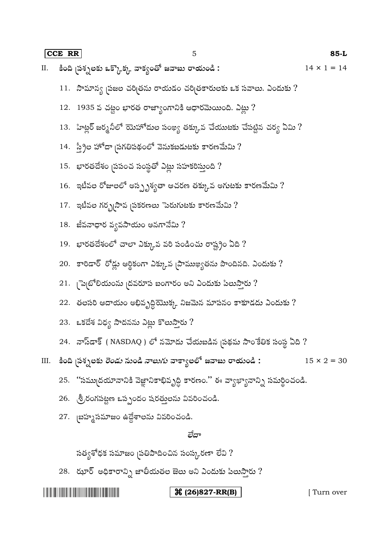|    |                                                                                                        | $85-L$             |
|----|--------------------------------------------------------------------------------------------------------|--------------------|
| И. | కింది <sub>(</sub> పశ్నలకు ఒక్కొక్క వాక్యంతో జవాబు రాయండి :                                            | $14 \times 1 = 14$ |
|    | 11.   సామాన్య <sub>(</sub> పజల చరి <sub>(</sub> తను రాయడం చరి <sub>(</sub> తకారులకు ఒక సవాలు. ఎందుకు ? |                    |
|    | 12.   1935 వ చట్టం భారత రాజ్యాంగానికి ఆధారమెయింది. ఎట్లు ?                                             |                    |
|    | 13. ిహిట్లర్ జర్మనీలో యెహోదుల సంఖ్య తక్కువ చేయుటకు చేపట్టిన చర్య ఏమి ?                                 |                    |
|    | 14. స్త్రీల హోదా సుగతిపథంలో వెనుకబడుటకు కారణమేమి ?                                                     |                    |
|    | 15.   భారతదేశం <sub>(</sub> పపంచ సంస్థతో ఎట్లు సహకరిస్తుంది ?                                          |                    |
|    | $16.$ ఇటీవల రోజులలో అస్సృశ్యతా ఆచరణ తక్కువ అగుటకు కారణమేమి ?                                           |                    |
|    | 17.   ఇటీవల గర్భృసావ <sub>(</sub> పకరణలు ెురుగుటకు కారణమేమి ?                                          |                    |
|    | 18.  జీవనాధార వ్యవసాయం అనగానేమి ?                                                                      |                    |
|    | 19.   భారతదేశంలో చాలా ఎక్కువ వరి పండించు రాష్ట్రం ఏది ?                                                |                    |
|    | 20. - కారిడార్ రోడ్లు ఆర్థికంగా ఎక్కువ స్థాముఖ్యతను పొందినది. ఎందుకు ?                                 |                    |
|    | 21.  ెప్పటోలియంను  దవరూప బంగారం అని ఎందుకు పిలుస్తారు ?                                                |                    |
|    | 22.  తలసరి ఆదాయం అభివృద్ధియొక్క నిజమెన మాపనం కాకూడదు ఎందుకు ?                                          |                    |
|    | 23. - ఒకదేశ విధ్య సాదనను ఎట్లు కొలుస్తారు ?                                                            |                    |
|    | 24.  నాస్డాక్ ( NASDAQ ) లో నమోదు చేయబడిన <sub>(</sub> పథమ సాంకేతిక సంస్థ ఏది ?                        |                    |
|    | III. కింది <sub>(</sub> పశ్నలకు <i>రెండు</i> నుండి <i>నాలుగు</i> వాక్యాలలో జవాబు రాయండి :              | $15 \times 2 = 30$ |
|    | 25. ''సమ్ముదయానానికి వెజ్ఞానికాభివృద్ధి కారణం.'' ఈ వ్యాఖ్యానాన్ని సమర్థించండి.                         |                    |
|    | 26. - శ్రీ రంగపట్టణ ఒప్పందం షరత్తులను వివరించండి.                                                      |                    |
|    | 27. బహ్మసమాజం ఉద్దేశాలను వివరించండి.                                                                   |                    |
|    | లేదా                                                                                                   |                    |
|    | సత్యశోధక సమాజం <sub>(</sub> పతిపాదించిన సంస్కరణా లేవి ?                                                |                    |

 $28.$  ఝార్ అధికారాన్ని జాతీయతల జెలు అని ఎందుకు పిలుస్తారు ?

**(26)827-RR(B)** [ Turn over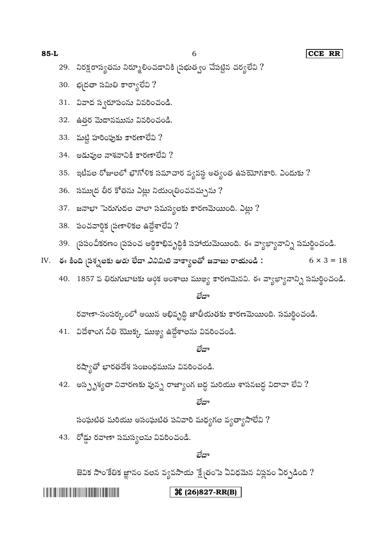**The Community of the Community** 

## **(26)827-RR(B)**

#### లేదా

జెవిక సాంకేతిక జ్ఞానం వలన వ్యవసాయ క్ష్మేతంపె ఏవిధమెన విప్లవం ఏర్పడింది ?

43. రోడ్డు రవాణా సమస్యలను వివరించండి.

సంఘటిత మరియు అసంఘటిత పనివారి మధ్యగల వ్యత్యాసాలేవి ?

లేదా

42. అస్పృశ్యతా నివారణకు వున్న రాజ్యాంగ బద్ద మరియు శాసనబద్ద విదానా లేవి ?

రష్యాతో భారతదేశ సంబంధమును వివరించండి.

#### లేదా

41. విదేశాంగ నీతి యొక్క ముఖ్య ఉద్దేశాలను వివరించండి.

రవాణా-సంపర్కంలో అయిన అభివృద్ధి జాతీయతకు కారణమెయింది. సమర్థించండి.

#### లేదా

- 40. 1857 వ తిరుగుబాటకు ఆర్గిక అంశాలు ముఖ్య కారణమెనవి. ఈ వ్యాఖ్యానాన్ని సమర్థించండి.
- IV. ఈ కింది ప్రశ్నలకు ఆ*రు* లేదా *ఎనిమిది* వాక్యాలతో జవాబు రాయండి :  $6 \times 3 = 18$
- 
- 39. గ్రపంచీకరణం చ్రపంచ ఆర్థికాభివృద్ధికి సహాయమెయింది. ఈ వ్యాఖ్యానాన్ని సమర్థించండి.
- 

30. భ(దతా సమితి కార్యాలేవి ?

31. వివాద స్వరూపంను వివరించండి.

32. ఉతర మెదానమును వివరించండి.

- 
- 
- 
- 
- 
- 
- 
- 
- 
- 
- 
- 
- 
- 
- 
- 
- 
- 
- 
- $38.$  పంచవార్తిక బ్రణాళికల ఉద్దేశాలేవి ?

37. జనాభా $\tilde{a}$ పరుగుదల చాలా సమస్యలకు కారణమెయింది. ఎట్లు ?

- 
- 
- 
- 
- 
- 
- 
- 35. ఇటీవల రోజులలో భౌగోళిక సమాచార వ్యవస్థ అత్యంత ఉపయోగకారి. ఎందుకు ? 36. సముద్ర తీర కోతను ఎట్లు నియం(తించవచ్చును ?
- $34.$  అడువుల నాశనానికి కారణాలేవి ?
- 33. మట్టి హరింపుకు కారణాలేవి ?

29. నిరక్షరాస్యతను నిర్మూలించడానికి ప్రభుత్వం చేపట్టిన చర్యలేవి ?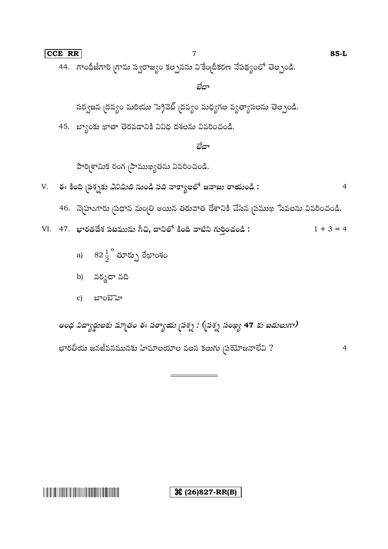**X** (26)827-RR(B)

అంధ విద్యార్థులకు మాౖతం ఈ పర్యాయ ౖపశ్న : (బ్రశ్న సంఖ్య 47 కు బదులుగా) భారతీయ జనజీవనమునకు హిమాలయాల వలన కలుగు <sub>(</sub>పయోజనాలేవి ?  $\overline{4}$ 

- బాంబెహ  $\mathbf{c}$ )
- b) నర్మదా నది
- a)  $82\frac{1}{2}^{\circ}$  మార్పు రేఖాంశం
- VI. 47. భారతదేశ పటమును గీచి, దానిలో కింది వాటిని గుర్తించండి:  $1 + 3 = 4$
- 46. నెర్రూగారు ప్రధాన మంత్రి అయిన తరువాత దేశానికి చేసిన ప్రముఖ సేవలను వివరించండి.
- V. ఈ కింది <sub>(</sub>పశ్నకు *ఎనిమిది* నుండి *పది* వాక్యాలలో జవాబు రాయండి :  $\overline{4}$

పారి[శామిక రంగ [పాముఖ్యతను వివరించండి.

## లేదా

45. బ్యాంకు ఖాతా తెరవడానికి వివిధ దశలను వివరించండి.

సర్వజన ద్రవ్యం మరియు ప్రైవెట్ ద్రవ్యం మధ్యగల వ్యత్యాసలను తెల్పండి.

# లేదా

 $\overline{7}$ 

44. గాంధీజీగారి గ్రామ స్వరాజ్యం కల్పనను వికేం[దీకరణ నేపథ్యంలో తెల్పండి.

CCE RR